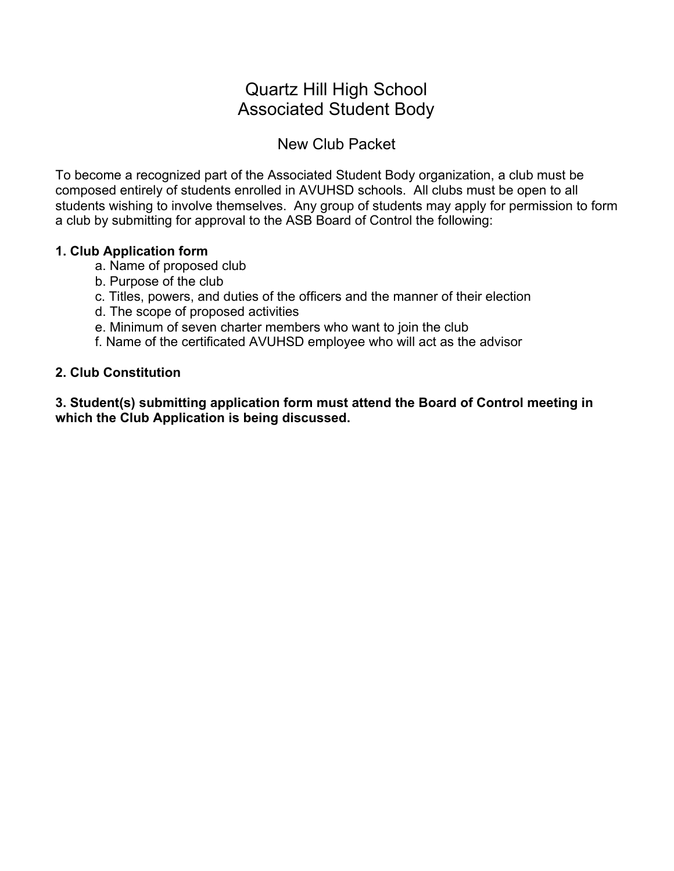# Quartz Hill High School Associated Student Body

## New Club Packet

To become a recognized part of the Associated Student Body organization, a club must be composed entirely of students enrolled in AVUHSD schools. All clubs must be open to all students wishing to involve themselves. Any group of students may apply for permission to form a club by submitting for approval to the ASB Board of Control the following:

#### **1. Club Application form**

- a. Name of proposed club
- b. Purpose of the club
- c. Titles, powers, and duties of the officers and the manner of their election
- d. The scope of proposed activities
- e. Minimum of seven charter members who want to join the club
- f. Name of the certificated AVUHSD employee who will act as the advisor

#### **2. Club Constitution**

**3. Student(s) submitting application form must attend the Board of Control meeting in which the Club Application is being discussed.**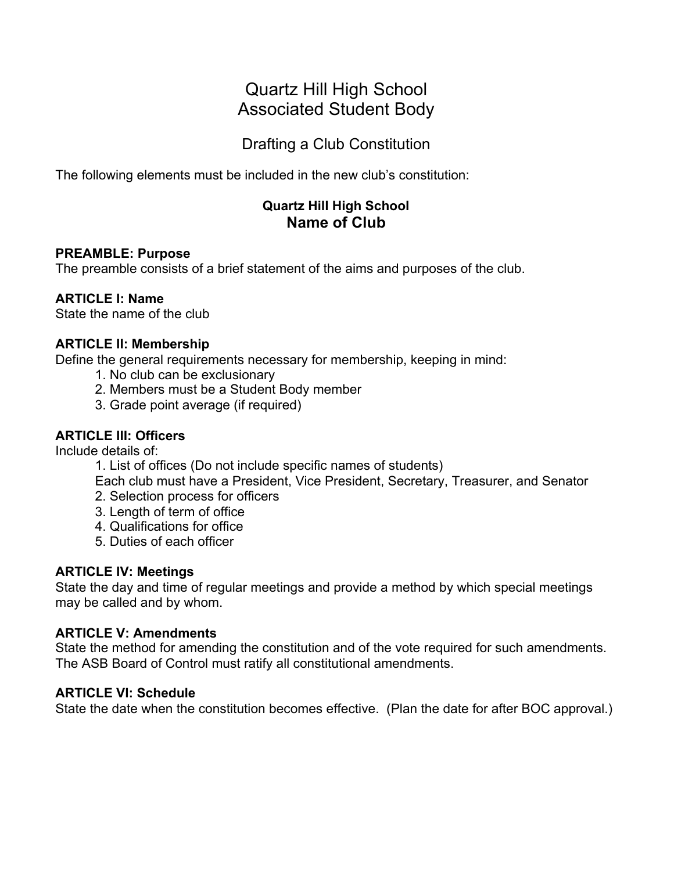# Quartz Hill High School Associated Student Body

Drafting a Club Constitution

The following elements must be included in the new club's constitution:

### **Quartz Hill High School Name of Club**

#### **PREAMBLE: Purpose**

The preamble consists of a brief statement of the aims and purposes of the club.

#### **ARTICLE I: Name**

State the name of the club

#### **ARTICLE II: Membership**

Define the general requirements necessary for membership, keeping in mind:

- 1. No club can be exclusionary
- 2. Members must be a Student Body member
- 3. Grade point average (if required)

### **ARTICLE III: Officers**

Include details of:

1. List of offices (Do not include specific names of students)

Each club must have a President, Vice President, Secretary, Treasurer, and Senator

- 2. Selection process for officers
- 3. Length of term of office
- 4. Qualifications for office
- 5. Duties of each officer

#### **ARTICLE IV: Meetings**

State the day and time of regular meetings and provide a method by which special meetings may be called and by whom.

#### **ARTICLE V: Amendments**

State the method for amending the constitution and of the vote required for such amendments. The ASB Board of Control must ratify all constitutional amendments.

#### **ARTICLE VI: Schedule**

State the date when the constitution becomes effective. (Plan the date for after BOC approval.)